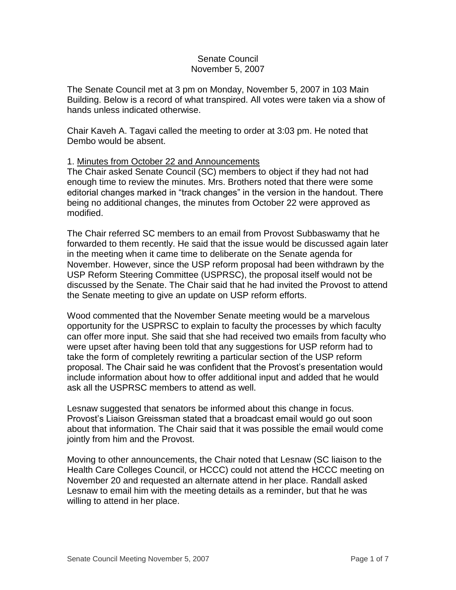### Senate Council November 5, 2007

The Senate Council met at 3 pm on Monday, November 5, 2007 in 103 Main Building. Below is a record of what transpired. All votes were taken via a show of hands unless indicated otherwise.

Chair Kaveh A. Tagavi called the meeting to order at 3:03 pm. He noted that Dembo would be absent.

### 1. Minutes from October 22 and Announcements

The Chair asked Senate Council (SC) members to object if they had not had enough time to review the minutes. Mrs. Brothers noted that there were some editorial changes marked in "track changes" in the version in the handout. There being no additional changes, the minutes from October 22 were approved as modified.

The Chair referred SC members to an email from Provost Subbaswamy that he forwarded to them recently. He said that the issue would be discussed again later in the meeting when it came time to deliberate on the Senate agenda for November. However, since the USP reform proposal had been withdrawn by the USP Reform Steering Committee (USPRSC), the proposal itself would not be discussed by the Senate. The Chair said that he had invited the Provost to attend the Senate meeting to give an update on USP reform efforts.

Wood commented that the November Senate meeting would be a marvelous opportunity for the USPRSC to explain to faculty the processes by which faculty can offer more input. She said that she had received two emails from faculty who were upset after having been told that any suggestions for USP reform had to take the form of completely rewriting a particular section of the USP reform proposal. The Chair said he was confident that the Provost's presentation would include information about how to offer additional input and added that he would ask all the USPRSC members to attend as well.

Lesnaw suggested that senators be informed about this change in focus. Provost's Liaison Greissman stated that a broadcast email would go out soon about that information. The Chair said that it was possible the email would come jointly from him and the Provost.

Moving to other announcements, the Chair noted that Lesnaw (SC liaison to the Health Care Colleges Council, or HCCC) could not attend the HCCC meeting on November 20 and requested an alternate attend in her place. Randall asked Lesnaw to email him with the meeting details as a reminder, but that he was willing to attend in her place.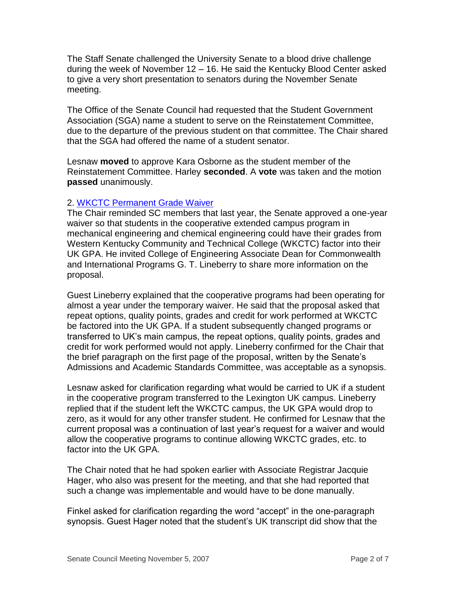The Staff Senate challenged the University Senate to a blood drive challenge during the week of November 12 – 16. He said the Kentucky Blood Center asked to give a very short presentation to senators during the November Senate meeting.

The Office of the Senate Council had requested that the Student Government Association (SGA) name a student to serve on the Reinstatement Committee, due to the departure of the previous student on that committee. The Chair shared that the SGA had offered the name of a student senator.

Lesnaw **moved** to approve Kara Osborne as the student member of the Reinstatement Committee. Harley **seconded**. A **vote** was taken and the motion **passed** unanimously.

# 2. [WKCTC Permanent Grade Waiver](http://www.uky.edu/USC/New/files/20071105/Req%20to%20Modify%20New%20KCTCS%20Transfer%20Policy_Complete.pdf)

The Chair reminded SC members that last year, the Senate approved a one-year waiver so that students in the cooperative extended campus program in mechanical engineering and chemical engineering could have their grades from Western Kentucky Community and Technical College (WKCTC) factor into their UK GPA. He invited College of Engineering Associate Dean for Commonwealth and International Programs G. T. Lineberry to share more information on the proposal.

Guest Lineberry explained that the cooperative programs had been operating for almost a year under the temporary waiver. He said that the proposal asked that repeat options, quality points, grades and credit for work performed at WKCTC be factored into the UK GPA. If a student subsequently changed programs or transferred to UK's main campus, the repeat options, quality points, grades and credit for work performed would not apply. Lineberry confirmed for the Chair that the brief paragraph on the first page of the proposal, written by the Senate's Admissions and Academic Standards Committee, was acceptable as a synopsis.

Lesnaw asked for clarification regarding what would be carried to UK if a student in the cooperative program transferred to the Lexington UK campus. Lineberry replied that if the student left the WKCTC campus, the UK GPA would drop to zero, as it would for any other transfer student. He confirmed for Lesnaw that the current proposal was a continuation of last year's request for a waiver and would allow the cooperative programs to continue allowing WKCTC grades, etc. to factor into the UK GPA.

The Chair noted that he had spoken earlier with Associate Registrar Jacquie Hager, who also was present for the meeting, and that she had reported that such a change was implementable and would have to be done manually.

Finkel asked for clarification regarding the word "accept" in the one-paragraph synopsis. Guest Hager noted that the student's UK transcript did show that the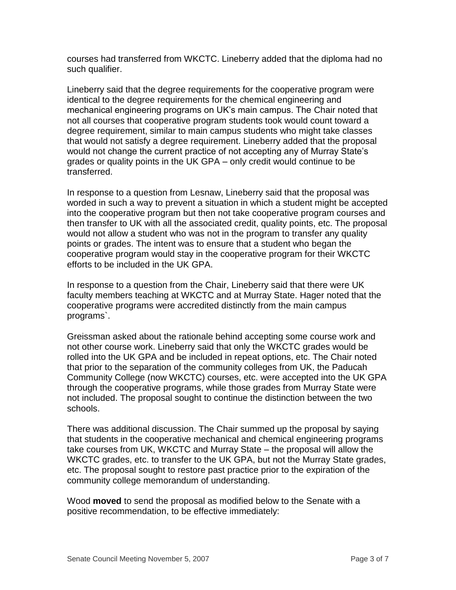courses had transferred from WKCTC. Lineberry added that the diploma had no such qualifier.

Lineberry said that the degree requirements for the cooperative program were identical to the degree requirements for the chemical engineering and mechanical engineering programs on UK's main campus. The Chair noted that not all courses that cooperative program students took would count toward a degree requirement, similar to main campus students who might take classes that would not satisfy a degree requirement. Lineberry added that the proposal would not change the current practice of not accepting any of Murray State's grades or quality points in the UK GPA – only credit would continue to be transferred.

In response to a question from Lesnaw, Lineberry said that the proposal was worded in such a way to prevent a situation in which a student might be accepted into the cooperative program but then not take cooperative program courses and then transfer to UK with all the associated credit, quality points, etc. The proposal would not allow a student who was not in the program to transfer any quality points or grades. The intent was to ensure that a student who began the cooperative program would stay in the cooperative program for their WKCTC efforts to be included in the UK GPA.

In response to a question from the Chair, Lineberry said that there were UK faculty members teaching at WKCTC and at Murray State. Hager noted that the cooperative programs were accredited distinctly from the main campus programs`.

Greissman asked about the rationale behind accepting some course work and not other course work. Lineberry said that only the WKCTC grades would be rolled into the UK GPA and be included in repeat options, etc. The Chair noted that prior to the separation of the community colleges from UK, the Paducah Community College (now WKCTC) courses, etc. were accepted into the UK GPA through the cooperative programs, while those grades from Murray State were not included. The proposal sought to continue the distinction between the two schools.

There was additional discussion. The Chair summed up the proposal by saying that students in the cooperative mechanical and chemical engineering programs take courses from UK, WKCTC and Murray State – the proposal will allow the WKCTC grades, etc. to transfer to the UK GPA, but not the Murray State grades, etc. The proposal sought to restore past practice prior to the expiration of the community college memorandum of understanding.

Wood **moved** to send the proposal as modified below to the Senate with a positive recommendation, to be effective immediately: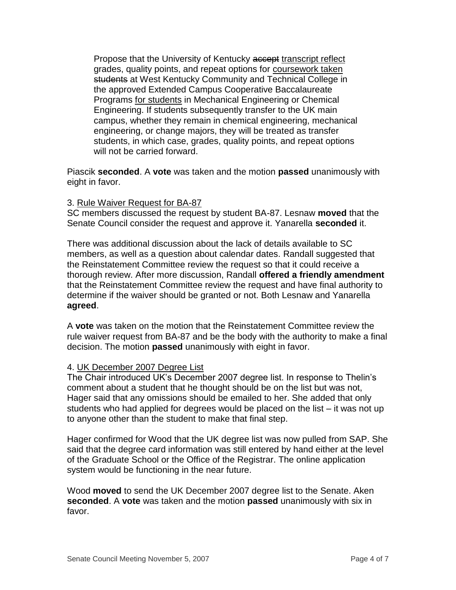Propose that the University of Kentucky accept transcript reflect grades, quality points, and repeat options for coursework taken students at West Kentucky Community and Technical College in the approved Extended Campus Cooperative Baccalaureate Programs for students in Mechanical Engineering or Chemical Engineering. If students subsequently transfer to the UK main campus, whether they remain in chemical engineering, mechanical engineering, or change majors, they will be treated as transfer students, in which case, grades, quality points, and repeat options will not be carried forward.

Piascik **seconded**. A **vote** was taken and the motion **passed** unanimously with eight in favor.

## 3. Rule Waiver Request for BA-87

SC members discussed the request by student BA-87. Lesnaw **moved** that the Senate Council consider the request and approve it. Yanarella **seconded** it.

There was additional discussion about the lack of details available to SC members, as well as a question about calendar dates. Randall suggested that the Reinstatement Committee review the request so that it could receive a thorough review. After more discussion, Randall **offered a friendly amendment** that the Reinstatement Committee review the request and have final authority to determine if the waiver should be granted or not. Both Lesnaw and Yanarella **agreed**.

A **vote** was taken on the motion that the Reinstatement Committee review the rule waiver request from BA-87 and be the body with the authority to make a final decision. The motion **passed** unanimously with eight in favor.

### 4. UK December 2007 Degree List

The Chair introduced UK's December 2007 degree list. In response to Thelin's comment about a student that he thought should be on the list but was not, Hager said that any omissions should be emailed to her. She added that only students who had applied for degrees would be placed on the list – it was not up to anyone other than the student to make that final step.

Hager confirmed for Wood that the UK degree list was now pulled from SAP. She said that the degree card information was still entered by hand either at the level of the Graduate School or the Office of the Registrar. The online application system would be functioning in the near future.

Wood **moved** to send the UK December 2007 degree list to the Senate. Aken **seconded**. A **vote** was taken and the motion **passed** unanimously with six in favor.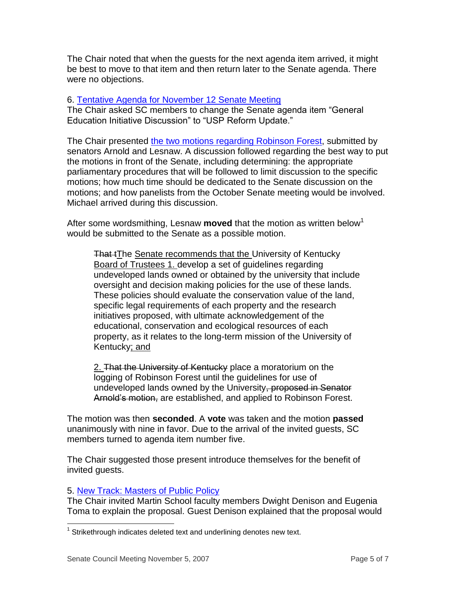The Chair noted that when the guests for the next agenda item arrived, it might be best to move to that item and then return later to the Senate agenda. There were no objections.

## 6. [Tentative Agenda for November 12 Senate Meeting](http://www.uky.edu/USC/New/files/20071105/Tentative%20Senate%20Agenda%20for%2011-12.pdf)

The Chair asked SC members to change the Senate agenda item "General Education Initiative Discussion" to "USP Reform Update."

The Chair presented [the two motions regarding](http://www.uky.edu/USC/New/files/20071105/RF%20Motions.pdf) Robinson Forest, submitted by senators Arnold and Lesnaw. A discussion followed regarding the best way to put the motions in front of the Senate, including determining: the appropriate parliamentary procedures that will be followed to limit discussion to the specific motions; how much time should be dedicated to the Senate discussion on the motions; and how panelists from the October Senate meeting would be involved. Michael arrived during this discussion.

After some wordsmithing, Lesnaw **moved** that the motion as written below<sup>1</sup> would be submitted to the Senate as a possible motion.

That tThe Senate recommends that the University of Kentucky Board of Trustees 1. develop a set of guidelines regarding undeveloped lands owned or obtained by the university that include oversight and decision making policies for the use of these lands. These policies should evaluate the conservation value of the land, specific legal requirements of each property and the research initiatives proposed, with ultimate acknowledgement of the educational, conservation and ecological resources of each property, as it relates to the long-term mission of the University of Kentucky; and

2. That the University of Kentucky place a moratorium on the logging of Robinson Forest until the guidelines for use of undeveloped lands owned by the University, proposed in Senator Arnold's motion, are established, and applied to Robinson Forest.

The motion was then **seconded**. A **vote** was taken and the motion **passed** unanimously with nine in favor. Due to the arrival of the invited guests, SC members turned to agenda item number five.

The Chair suggested those present introduce themselves for the benefit of invited guests.

### 5. [New Track: Masters of Public Policy](http://www.uky.edu/USC/New/files/20071105/Master%20of%20Public%20Policy-%20New%20Track_Complete.pdf)

The Chair invited Martin School faculty members Dwight Denison and Eugenia Toma to explain the proposal. Guest Denison explained that the proposal would

 $\overline{a}$ 

 $1$  Strikethrough indicates deleted text and underlining denotes new text.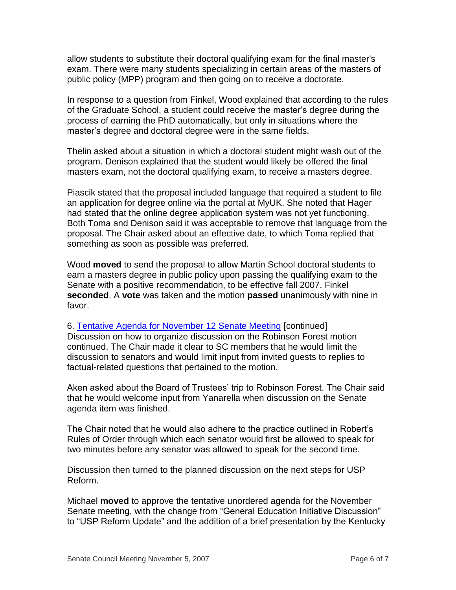allow students to substitute their doctoral qualifying exam for the final master's exam. There were many students specializing in certain areas of the masters of public policy (MPP) program and then going on to receive a doctorate.

In response to a question from Finkel, Wood explained that according to the rules of the Graduate School, a student could receive the master's degree during the process of earning the PhD automatically, but only in situations where the master's degree and doctoral degree were in the same fields.

Thelin asked about a situation in which a doctoral student might wash out of the program. Denison explained that the student would likely be offered the final masters exam, not the doctoral qualifying exam, to receive a masters degree.

Piascik stated that the proposal included language that required a student to file an application for degree online via the portal at MyUK. She noted that Hager had stated that the online degree application system was not yet functioning. Both Toma and Denison said it was acceptable to remove that language from the proposal. The Chair asked about an effective date, to which Toma replied that something as soon as possible was preferred.

Wood **moved** to send the proposal to allow Martin School doctoral students to earn a masters degree in public policy upon passing the qualifying exam to the Senate with a positive recommendation, to be effective fall 2007. Finkel **seconded**. A **vote** was taken and the motion **passed** unanimously with nine in favor.

6. [Tentative Agenda for November 12 Senate Meeting](http://www.uky.edu/USC/New/files/20071105/Tentative%20Senate%20Agenda%20for%2011-12.pdf) [continued] Discussion on how to organize discussion on the Robinson Forest motion continued. The Chair made it clear to SC members that he would limit the discussion to senators and would limit input from invited guests to replies to factual-related questions that pertained to the motion.

Aken asked about the Board of Trustees' trip to Robinson Forest. The Chair said that he would welcome input from Yanarella when discussion on the Senate agenda item was finished.

The Chair noted that he would also adhere to the practice outlined in Robert's Rules of Order through which each senator would first be allowed to speak for two minutes before any senator was allowed to speak for the second time.

Discussion then turned to the planned discussion on the next steps for USP Reform.

Michael **moved** to approve the tentative unordered agenda for the November Senate meeting, with the change from "General Education Initiative Discussion" to "USP Reform Update" and the addition of a brief presentation by the Kentucky